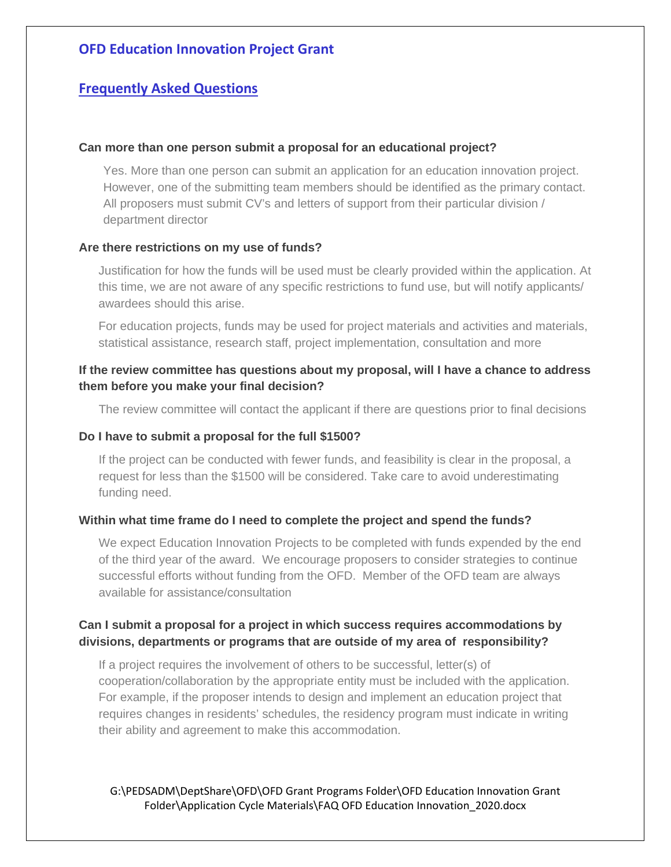# **Frequently Asked Questions**

### **Can more than one person submit a proposal for an educational project?**

Yes. More than one person can submit an application for an education innovation project. However, one of the submitting team members should be identified as the primary contact. All proposers must submit CV's and letters of support from their particular division / department director

### **Are there restrictions on my use of funds?**

Justification for how the funds will be used must be clearly provided within the application. At this time, we are not aware of any specific restrictions to fund use, but will notify applicants/ awardees should this arise.

For education projects, funds may be used for project materials and activities and materials, statistical assistance, research staff, project implementation, consultation and more

### **If the review committee has questions about my proposal, will I have a chance to address them before you make your final decision?**

The review committee will contact the applicant if there are questions prior to final decisions

### **Do I have to submit a proposal for the full \$1500?**

If the project can be conducted with fewer funds, and feasibility is clear in the proposal, a request for less than the \$1500 will be considered. Take care to avoid underestimating funding need.

### **Within what time frame do I need to complete the project and spend the funds?**

We expect Education Innovation Projects to be completed with funds expended by the end of the third year of the award. We encourage proposers to consider strategies to continue successful efforts without funding from the OFD. Member of the OFD team are always available for assistance/consultation

### **Can I submit a proposal for a project in which success requires accommodations by divisions, departments or programs that are outside of my area of responsibility?**

If a project requires the involvement of others to be successful, letter(s) of cooperation/collaboration by the appropriate entity must be included with the application. For example, if the proposer intends to design and implement an education project that requires changes in residents' schedules, the residency program must indicate in writing their ability and agreement to make this accommodation.

G:\PEDSADM\DeptShare\OFD\OFD Grant Programs Folder\OFD Education Innovation Grant Folder\Application Cycle Materials\FAQ OFD Education Innovation\_2020.docx